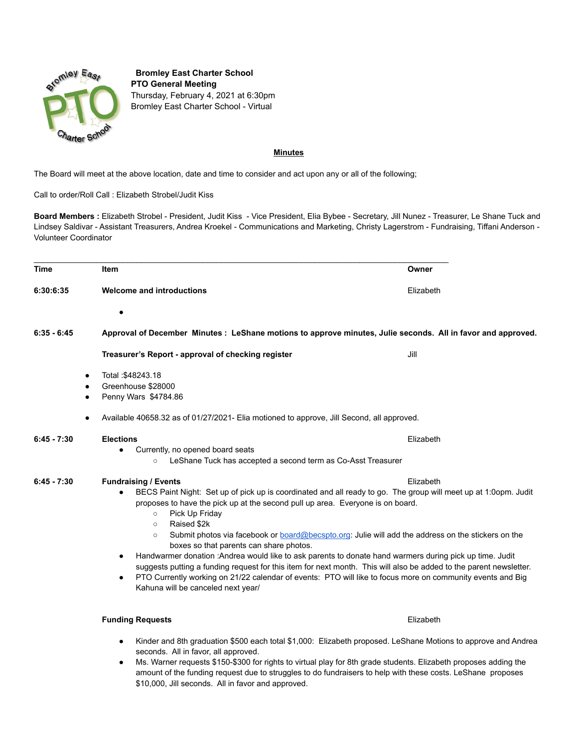

**Bromley East Charter School PTO General Meeting** Thursday, February 4, 2021 at 6:30pm Bromley East Charter School - Virtual

## **Minutes**

The Board will meet at the above location, date and time to consider and act upon any or all of the following;

\$10,000, Jill seconds. All in favor and approved.

Call to order/Roll Call : Elizabeth Strobel/Judit Kiss

**Board Members :** Elizabeth Strobel - President, Judit Kiss - Vice President, Elia Bybee - Secretary, Jill Nunez - Treasurer, Le Shane Tuck and Lindsey Saldivar - Assistant Treasurers, Andrea Kroekel - Communications and Marketing, Christy Lagerstrom - Fundraising, Tiffani Anderson - Volunteer Coordinator

| <b>Time</b>   |                | <b>Item</b>                                                                                                                                                                                                                                                                                                                                                                                                                                                                                                                                                                                                                                                                                                                                                                                                                                                                                           | Owner     |
|---------------|----------------|-------------------------------------------------------------------------------------------------------------------------------------------------------------------------------------------------------------------------------------------------------------------------------------------------------------------------------------------------------------------------------------------------------------------------------------------------------------------------------------------------------------------------------------------------------------------------------------------------------------------------------------------------------------------------------------------------------------------------------------------------------------------------------------------------------------------------------------------------------------------------------------------------------|-----------|
| 6:30:6:35     |                | <b>Welcome and introductions</b>                                                                                                                                                                                                                                                                                                                                                                                                                                                                                                                                                                                                                                                                                                                                                                                                                                                                      | Elizabeth |
|               |                | $\bullet$                                                                                                                                                                                                                                                                                                                                                                                                                                                                                                                                                                                                                                                                                                                                                                                                                                                                                             |           |
| $6:35 - 6:45$ |                | Approval of December Minutes : LeShane motions to approve minutes, Julie seconds. All in favor and approved.                                                                                                                                                                                                                                                                                                                                                                                                                                                                                                                                                                                                                                                                                                                                                                                          |           |
|               |                | Treasurer's Report - approval of checking register                                                                                                                                                                                                                                                                                                                                                                                                                                                                                                                                                                                                                                                                                                                                                                                                                                                    | Jill      |
|               | ٠<br>$\bullet$ | Total: \$48243.18<br>Greenhouse \$28000<br>Penny Wars \$4784.86<br>Available 40658.32 as of 01/27/2021- Elia motioned to approve, Jill Second, all approved.                                                                                                                                                                                                                                                                                                                                                                                                                                                                                                                                                                                                                                                                                                                                          |           |
| $6:45 - 7:30$ |                | <b>Elections</b><br>Currently, no opened board seats<br>$\bullet$<br>LeShane Tuck has accepted a second term as Co-Asst Treasurer<br>$\circ$                                                                                                                                                                                                                                                                                                                                                                                                                                                                                                                                                                                                                                                                                                                                                          | Elizabeth |
| $6:45 - 7:30$ |                | <b>Fundraising / Events</b><br>Elizabeth<br>BECS Paint Night: Set up of pick up is coordinated and all ready to go. The group will meet up at 1:0opm. Judit<br>$\bullet$<br>proposes to have the pick up at the second pull up area. Everyone is on board.<br>Pick Up Friday<br>$\circ$<br>Raised \$2k<br>$\circ$<br>Submit photos via facebook or <b>board@becspto.org</b> : Julie will add the address on the stickers on the<br>$\circ$<br>boxes so that parents can share photos.<br>Handwarmer donation : Andrea would like to ask parents to donate hand warmers during pick up time. Judit<br>$\bullet$<br>suggests putting a funding request for this item for next month. This will also be added to the parent newsletter.<br>PTO Currently working on 21/22 calendar of events: PTO will like to focus more on community events and Big<br>$\bullet$<br>Kahuna will be canceled next year/ |           |
|               |                | <b>Funding Requests</b>                                                                                                                                                                                                                                                                                                                                                                                                                                                                                                                                                                                                                                                                                                                                                                                                                                                                               | Elizabeth |
|               |                | Kinder and 8th graduation \$500 each total \$1,000: Elizabeth proposed. LeShane Motions to approve and Andrea                                                                                                                                                                                                                                                                                                                                                                                                                                                                                                                                                                                                                                                                                                                                                                                         |           |

seconds. All in favor, all approved. ● Ms. Warner requests \$150-\$300 for rights to virtual play for 8th grade students. Elizabeth proposes adding the amount of the funding request due to struggles to do fundraisers to help with these costs. LeShane proposes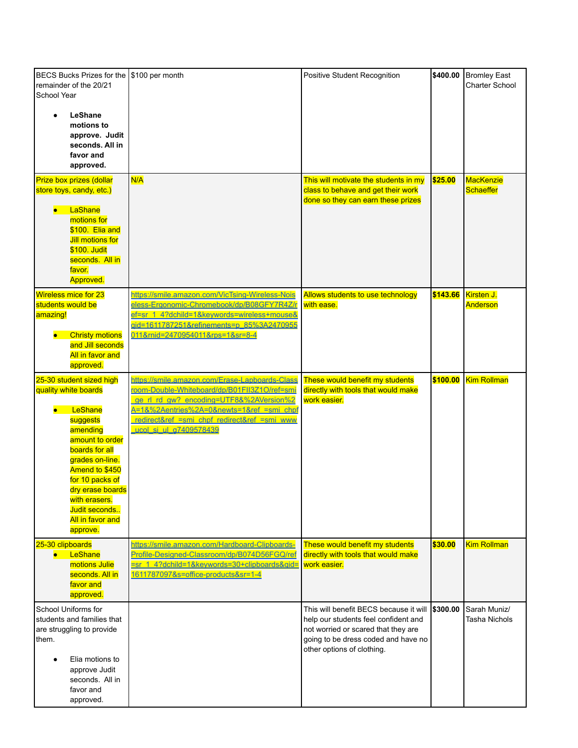| <b>BECS Bucks Prizes for the</b><br>remainder of the 20/21<br>School Year                                                                                                                                                                                                           | \$100 per month                                                                                                                                                                                                                                                  | Positive Student Recognition                                                                                                                                                               | \$400.00 | <b>Bromley East</b><br><b>Charter School</b> |
|-------------------------------------------------------------------------------------------------------------------------------------------------------------------------------------------------------------------------------------------------------------------------------------|------------------------------------------------------------------------------------------------------------------------------------------------------------------------------------------------------------------------------------------------------------------|--------------------------------------------------------------------------------------------------------------------------------------------------------------------------------------------|----------|----------------------------------------------|
| LeShane<br>motions to<br>approve. Judit<br>seconds. All in<br>favor and<br>approved.                                                                                                                                                                                                |                                                                                                                                                                                                                                                                  |                                                                                                                                                                                            |          |                                              |
| Prize box prizes (dollar<br>store toys, candy, etc.)<br>LaShane<br>$\bullet$<br>motions for<br>\$100. Elia and<br>Jill motions for<br>\$100. Judit<br>seconds. All in<br>favor.<br><b>Approved.</b>                                                                                 | N/A                                                                                                                                                                                                                                                              | This will motivate the students in my<br>class to behave and get their work<br>done so they can earn these prizes                                                                          | \$25.00  | <b>MacKenzie</b><br><b>Schaeffer</b>         |
| <b>Wireless mice for 23</b><br>students would be<br>amazing!<br><b>Christy motions</b><br>$\bullet$<br>and Jill seconds<br>All in favor and<br>approved.                                                                                                                            | https://smile.amazon.com/VicTsing-Wireless-Nois<br>eless-Ergonomic-Chromebook/dp/B08GFY7R4Z/r<br>ef=sr 1 4?dchild=1&keywords=wireless+mouse&<br>gid=1611787251&refinements=p 85%3A2470955<br>011∣=2470954011&rps=1&sr=8-4                                        | Allows students to use technology<br>with ease.                                                                                                                                            | \$143.66 | Kirsten J.<br>Anderson                       |
| 25-30 student sized high<br>quality white boards<br>LeShane<br>$\bullet$<br>suggests<br>amending<br>amount to order<br>boards for all<br>grades on-line.<br>Amend to \$450<br>for 10 packs of<br>dry erase boards<br>with erasers.<br>Judit seconds<br>All in favor and<br>approve. | https://smile.amazon.com/Erase-Lapboards-Class<br>room-Double-Whiteboard/dp/B01FII3Z1O/ref=smi<br>ge rl rd gw? encoding=UTF8&%2AVersion%2<br>A=1&%2Aentries%2A=0&newts=1&ref =smi chpf<br>redirect&ref =smi_chpf_redirect&ref =smi_www<br>ucol si ul a7409578439 | These would benefit my students<br>directly with tools that would make<br>work easier.                                                                                                     | \$100.00 | <b>Kim Rollman</b>                           |
| 25-30 clipboards<br>LeShane<br>$\bullet$ .<br>motions Julie<br>seconds. All in<br>favor and<br>approved.                                                                                                                                                                            | https://smile.amazon.com/Hardboard-Clipboards-<br>Profile-Designed-Classroom/dp/B074D56FGQ/ref<br>sr 1 4?dchild=1&keywords=30+clipboards&gid= work easier.<br>1611787097&s=office-products&sr=1-4                                                                | These would benefit my students<br>directly with tools that would make                                                                                                                     | \$30.00  | <b>Kim Rollman</b>                           |
| School Uniforms for<br>students and families that<br>are struggling to provide<br>them.<br>Elia motions to<br>approve Judit<br>seconds. All in<br>favor and<br>approved.                                                                                                            |                                                                                                                                                                                                                                                                  | This will benefit BECS because it will<br>help our students feel confident and<br>not worried or scared that they are<br>going to be dress coded and have no<br>other options of clothing. | \$300.00 | Sarah Muniz/<br><b>Tasha Nichols</b>         |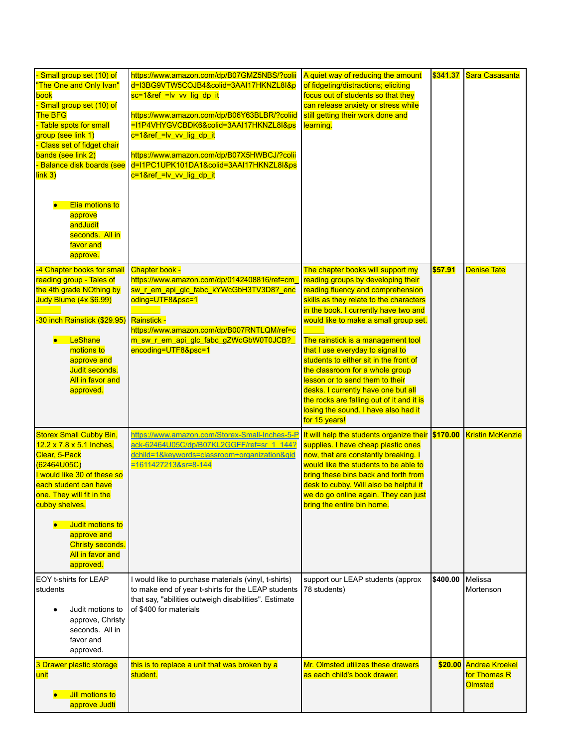| - Small group set (10) of<br>"The One and Only Ivan"<br>book<br>Small group set (10) of<br><b>The BFG</b><br>- Table spots for small<br>group (see link 1)<br>Class set of fidget chair<br>bands (see link 2)<br>- Balance disk boards (see<br>link 3)<br>Elia motions to<br>$\bullet$<br>approve<br>andJudit<br>seconds. All in<br>favor and<br>approve. | https://www.amazon.com/dp/B07GMZ5NBS/?colii<br>d=I3BG9VTW5COJB4&colid=3AAI17HKNZL8I&p<br>sc=1&ref_=Iv_vv_lig_dp_it<br>https://www.amazon.com/dp/B06Y63BLBR/?coliid<br>=I1P4VHYGVCBDK6&colid=3AAI17HKNZL8I&ps<br>c=1&ref_=lv_vv_lig_dp_it<br>https://www.amazon.com/dp/B07X5HWBCJ/?colii<br>d=I1PC1UPK101DA1&colid=3AAI17HKNZL8I&ps<br>c=1&ref_=lv_vv_lig_dp_it | A quiet way of reducing the amount<br>of fidgeting/distractions; eliciting<br>focus out of students so that they<br>can release anxiety or stress while<br>still getting their work done and<br>learning.                                                                                                                                                                                                                                                                                                                                                                        | \$341.37 | Sara Casasanta                                          |
|-----------------------------------------------------------------------------------------------------------------------------------------------------------------------------------------------------------------------------------------------------------------------------------------------------------------------------------------------------------|----------------------------------------------------------------------------------------------------------------------------------------------------------------------------------------------------------------------------------------------------------------------------------------------------------------------------------------------------------------|----------------------------------------------------------------------------------------------------------------------------------------------------------------------------------------------------------------------------------------------------------------------------------------------------------------------------------------------------------------------------------------------------------------------------------------------------------------------------------------------------------------------------------------------------------------------------------|----------|---------------------------------------------------------|
| -4 Chapter books for small<br>reading group - Tales of<br>the 4th grade NOthing by<br>Judy Blume (4x \$6.99)<br>-30 inch Rainstick (\$29.95)<br>LeShane<br>$\bullet$<br>motions to<br>approve and<br>Judit seconds.<br>All in favor and<br>approved.                                                                                                      | <b>Chapter book -</b><br>https://www.amazon.com/dp/0142408816/ref=cm<br>sw_r_em_api_glc_fabc_kYWcGbH3TV3D8?_enc<br>oding=UTF8&psc=1<br>Rainstick -<br>https://www.amazon.com/dp/B007RNTLQM/ref=c<br>m_sw_r_em_api_glc_fabc_gZWcGbW0T0JCB?_<br>encoding=UTF8&psc=1                                                                                              | The chapter books will support my<br>reading groups by developing their<br>reading fluency and comprehension<br>skills as they relate to the characters<br>in the book. I currently have two and<br>would like to make a small group set.<br>The rainstick is a management tool<br>that I use everyday to signal to<br>students to either sit in the front of<br>the classroom for a whole group<br>lesson or to send them to their<br>desks. I currently have one but all<br>the rocks are falling out of it and it is<br>losing the sound. I have also had it<br>for 15 years! | \$57.91  | <b>Denise Tate</b>                                      |
| <b>Storex Small Cubby Bin,</b><br>12.2 x 7.8 x 5.1 Inches,<br>Clear, 5-Pack<br>(62464U05C)<br>I would like 30 of these so<br>each student can have<br>one. They will fit in the<br>cubby shelves.<br>Judit motions to<br>approve and<br><b>Christy seconds.</b><br>All in favor and<br>approved.                                                          | https://www.amazon.com/Storex-Small-Inches-5-P It will help the students organize their<br>ack-62464U05C/dp/B07KL2GGFF/ref=sr 1 144?<br>dchild=1&keywords=classroom+organization&gid<br>$= 16114272138sr = 8 - 144$                                                                                                                                            | supplies. I have cheap plastic ones<br>now, that are constantly breaking. I<br>would like the students to be able to<br>bring these bins back and forth from<br>desk to cubby. Will also be helpful if<br>we do go online again. They can just<br>bring the entire bin home.                                                                                                                                                                                                                                                                                                     | \$170.00 | <b>Kristin McKenzie</b>                                 |
| EOY t-shirts for LEAP<br>students<br>Judit motions to<br>approve, Christy<br>seconds. All in<br>favor and<br>approved.                                                                                                                                                                                                                                    | I would like to purchase materials (vinyl, t-shirts)<br>to make end of year t-shirts for the LEAP students<br>that say, "abilities outweigh disabilities". Estimate<br>of \$400 for materials                                                                                                                                                                  | support our LEAP students (approx<br>78 students)                                                                                                                                                                                                                                                                                                                                                                                                                                                                                                                                | \$400.00 | Melissa<br>Mortenson                                    |
| 3 Drawer plastic storage<br>unit<br>Jill motions to<br>approve Judti                                                                                                                                                                                                                                                                                      | this is to replace a unit that was broken by a<br>student.                                                                                                                                                                                                                                                                                                     | Mr. Olmsted utilizes these drawers<br>as each child's book drawer.                                                                                                                                                                                                                                                                                                                                                                                                                                                                                                               | \$20.00  | <b>Andrea Kroekel</b><br>for Thomas R<br><b>Olmsted</b> |